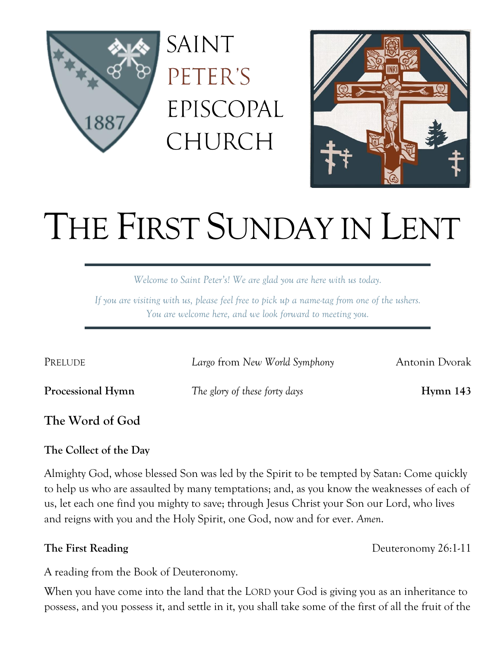



# THE FIRST SUNDAY IN LENT

*Welcome to Saint Peter's! We are glad you are here with us today.* 

*If you are visiting with us, please feel free to pick up a name-tag from one of the ushers. You are welcome here, and we look forward to meeting you.*

PRELUDE *Largo* from *New World Symphony* Antonin Dvorak **Processional Hymn** *The glory of these forty days* **Hymn 143** 

### **The Word of God**

### **The Collect of the Day**

Almighty God, whose blessed Son was led by the Spirit to be tempted by Satan: Come quickly to help us who are assaulted by many temptations; and, as you know the weaknesses of each of us, let each one find you mighty to save; through Jesus Christ your Son our Lord, who lives and reigns with you and the Holy Spirit, one God, now and for ever. *Amen*.

**The First Reading** Deuteronomy 26:1-11

A reading from the Book of Deuteronomy.

When you have come into the land that the LORD your God is giving you as an inheritance to possess, and you possess it, and settle in it, you shall take some of the first of all the fruit of the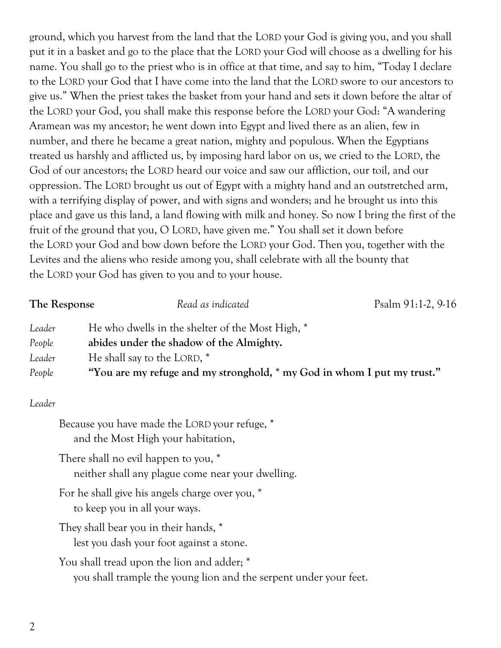ground, which you harvest from the land that the LORD your God is giving you, and you shall put it in a basket and go to the place that the LORD your God will choose as a dwelling for his name. You shall go to the priest who is in office at that time, and say to him, "Today I declare to the LORD your God that I have come into the land that the LORD swore to our ancestors to give us." When the priest takes the basket from your hand and sets it down before the altar of the LORD your God, you shall make this response before the LORD your God: "A wandering Aramean was my ancestor; he went down into Egypt and lived there as an alien, few in number, and there he became a great nation, mighty and populous. When the Egyptians treated us harshly and afflicted us, by imposing hard labor on us, we cried to the LORD, the God of our ancestors; the LORD heard our voice and saw our affliction, our toil, and our oppression. The LORD brought us out of Egypt with a mighty hand and an outstretched arm, with a terrifying display of power, and with signs and wonders; and he brought us into this place and gave us this land, a land flowing with milk and honey. So now I bring the first of the fruit of the ground that you, O LORD, have given me." You shall set it down before the LORD your God and bow down before the LORD your God. Then you, together with the Levites and the aliens who reside among you, shall celebrate with all the bounty that the LORD your God has given to you and to your house.

| The Response | Read as indicated                                                       | Psalm $91:1-2$ , $9-16$ |
|--------------|-------------------------------------------------------------------------|-------------------------|
| Leader       | He who dwells in the shelter of the Most High, *                        |                         |
| People       | abides under the shadow of the Almighty.                                |                         |
| Leader       | He shall say to the LORD, *                                             |                         |
| People       | "You are my refuge and my stronghold, * my God in whom I put my trust." |                         |

### *Leader*

Because you have made the LORD your refuge, \* and the Most High your habitation, There shall no evil happen to you, \* neither shall any plague come near your dwelling. For he shall give his angels charge over you, \* to keep you in all your ways. They shall bear you in their hands, \* lest you dash your foot against a stone. You shall tread upon the lion and adder; \*

you shall trample the young lion and the serpent under your feet.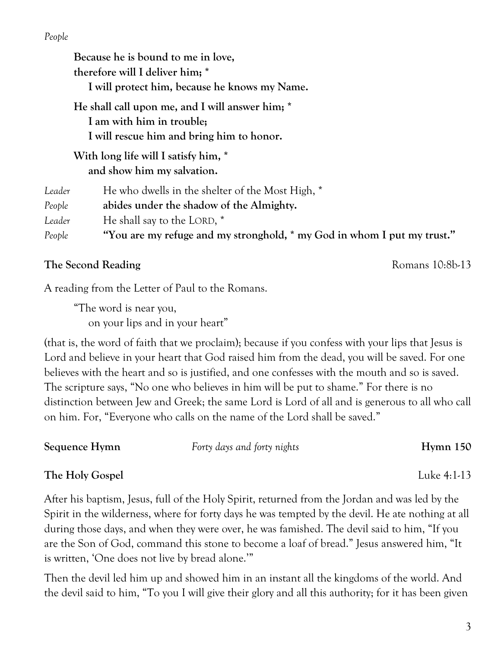3

|        | therefore will I deliver him; *<br>I will protect him, because he knows my Name.                                          |
|--------|---------------------------------------------------------------------------------------------------------------------------|
|        | He shall call upon me, and I will answer him; *<br>I am with him in trouble;<br>I will rescue him and bring him to honor. |
|        | With long life will I satisfy him, *<br>and show him my salvation.                                                        |
| Leader | He who dwells in the shelter of the Most High, *                                                                          |
| People | abides under the shadow of the Almighty.                                                                                  |
| Leader | He shall say to the LORD, *                                                                                               |
| People | "You are my refuge and my stronghold, * my God in whom I put my trust."                                                   |

### **The Second Reading** Romans 10:8b-13

A reading from the Letter of Paul to the Romans.

**Because he is bound to me in love,**

"The word is near you, on your lips and in your heart"

(that is, the word of faith that we proclaim); because if you confess with your lips that Jesus is Lord and believe in your heart that God raised him from the dead, you will be saved. For one believes with the heart and so is justified, and one confesses with the mouth and so is saved. The scripture says, "No one who believes in him will be put to shame." For there is no distinction between Jew and Greek; the same Lord is Lord of all and is generous to all who call on him. For, "Everyone who calls on the name of the Lord shall be saved."

| Hymn $150$<br>Sequence Hymn<br>Forty days and forty nights |  |
|------------------------------------------------------------|--|
|------------------------------------------------------------|--|

### **The Holy Gospel** Luke 4:1-13

After his baptism, Jesus, full of the Holy Spirit, returned from the Jordan and was led by the Spirit in the wilderness, where for forty days he was tempted by the devil. He ate nothing at all during those days, and when they were over, he was famished. The devil said to him, "If you are the Son of God, command this stone to become a loaf of bread." Jesus answered him, "It is written, 'One does not live by bread alone.'"

Then the devil led him up and showed him in an instant all the kingdoms of the world. And the devil said to him, "To you I will give their glory and all this authority; for it has been given

### *People*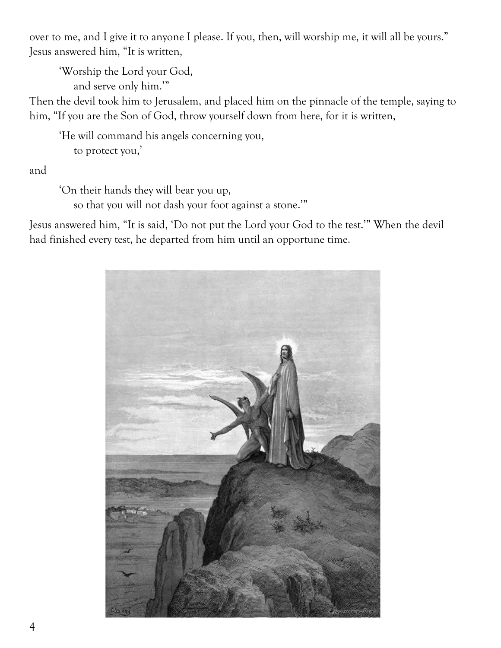over to me, and I give it to anyone I please. If you, then, will worship me, it will all be yours." Jesus answered him, "It is written,

'Worship the Lord your God, and serve only him.'"

Then the devil took him to Jerusalem, and placed him on the pinnacle of the temple, saying to him, "If you are the Son of God, throw yourself down from here, for it is written,

'He will command his angels concerning you, to protect you,'

and

'On their hands they will bear you up,

so that you will not dash your foot against a stone.'"

Jesus answered him, "It is said, 'Do not put the Lord your God to the test.'" When the devil had finished every test, he departed from him until an opportune time.

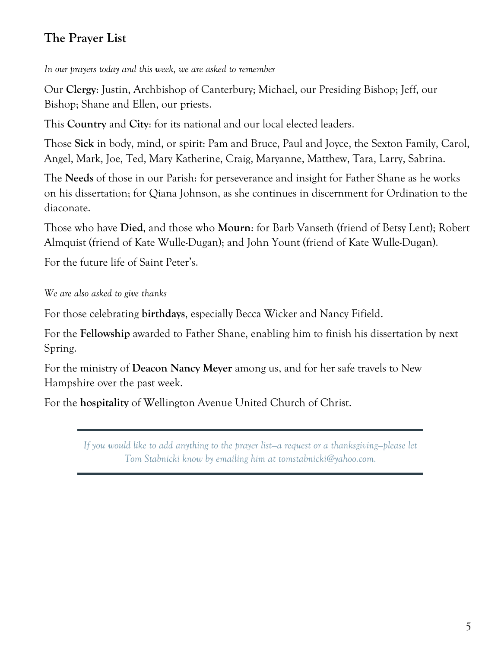### **The Prayer List**

*In our prayers today and this week, we are asked to remember*

Our **Clergy**: Justin, Archbishop of Canterbury; Michael, our Presiding Bishop; Jeff, our Bishop; Shane and Ellen, our priests.

This **Country** and **City**: for its national and our local elected leaders.

Those **Sick** in body, mind, or spirit: Pam and Bruce, Paul and Joyce, the Sexton Family, Carol, Angel, Mark, Joe, Ted, Mary Katherine, Craig, Maryanne, Matthew, Tara, Larry, Sabrina.

The **Needs** of those in our Parish: for perseverance and insight for Father Shane as he works on his dissertation; for Qiana Johnson, as she continues in discernment for Ordination to the diaconate.

Those who have **Died**, and those who **Mourn**: for Barb Vanseth (friend of Betsy Lent); Robert Almquist (friend of Kate Wulle-Dugan); and John Yount (friend of Kate Wulle-Dugan).

For the future life of Saint Peter's.

*We are also asked to give thanks* 

For those celebrating **birthdays**, especially Becca Wicker and Nancy Fifield.

For the **Fellowship** awarded to Father Shane, enabling him to finish his dissertation by next Spring.

For the ministry of **Deacon Nancy Meyer** among us, and for her safe travels to New Hampshire over the past week.

For the **hospitality** of Wellington Avenue United Church of Christ.

*If you would like to add anything to the prayer list—a request or a thanksgiving—please let Tom Stabnicki know by emailing him at tomstabnicki@yahoo.com.*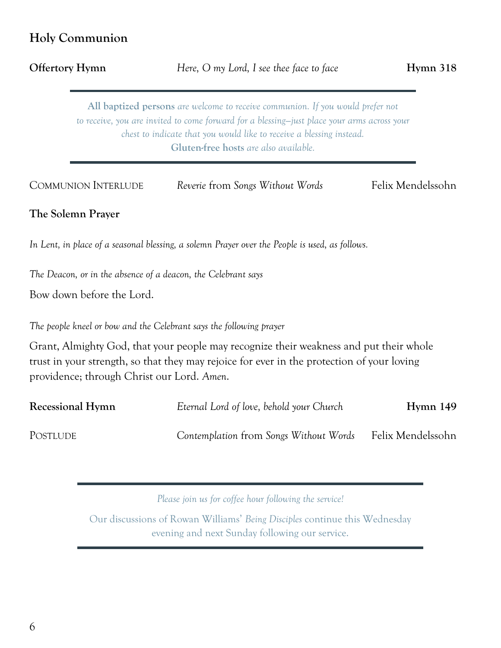**All baptized persons** *are welcome to receive communion. If you would prefer not to receive, you are invited to come forward for a blessing—just place your arms across your chest to indicate that you would like to receive a blessing instead.*  **Gluten-free hosts** *are also available.* 

COMMUNION INTERLUDE *Reverie* from *Songs Without Words* Felix Mendelssohn

### **The Solemn Prayer**

*In Lent, in place of a seasonal blessing, a solemn Prayer over the People is used, as follows.*

*The Deacon, or in the absence of a deacon, the Celebrant says*

Bow down before the Lord.

*The people kneel or bow and the Celebrant says the following prayer*

Grant, Almighty God, that your people may recognize their weakness and put their whole trust in your strength, so that they may rejoice for ever in the protection of your loving providence; through Christ our Lord. *Amen*.

| <b>Recessional Hymn</b> | Eternal Lord of love, behold your Church | Hymn 149          |
|-------------------------|------------------------------------------|-------------------|
| POSTLUDE                | Contemplation from Songs Without Words   | Felix Mendelssohn |

*Please join us for coffee hour following the service!* 

Our discussions of Rowan Williams' *Being Disciples* continue this Wednesday evening and next Sunday following our service.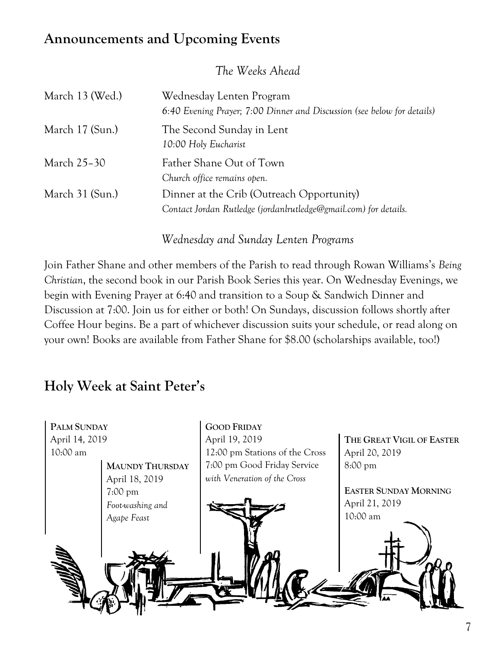### **Announcements and Upcoming Events**

### *The Weeks Ahead*

| March 13 (Wed.) | Wednesday Lenten Program<br>6:40 Evening Prayer; 7:00 Dinner and Discussion (see below for details)           |
|-----------------|---------------------------------------------------------------------------------------------------------------|
| March 17 (Sun.) | The Second Sunday in Lent<br>10:00 Holy Eucharist                                                             |
| March 25-30     | Father Shane Out of Town<br>Church office remains open.                                                       |
| March 31 (Sun.) | Dinner at the Crib (Outreach Opportunity)<br>Contact Jordan Rutledge (jordanlrutledge@gmail.com) for details. |

*Wednesday and Sunday Lenten Programs*

Join Father Shane and other members of the Parish to read through Rowan Williams's *Being Christian*, the second book in our Parish Book Series this year. On Wednesday Evenings, we begin with Evening Prayer at 6:40 and transition to a Soup & Sandwich Dinner and Discussion at 7:00. Join us for either or both! On Sundays, discussion follows shortly after Coffee Hour begins. Be a part of whichever discussion suits your schedule, or read along on your own! Books are available from Father Shane for \$8.00 (scholarships available, too!)

### **Holy Week at Saint Peter's**